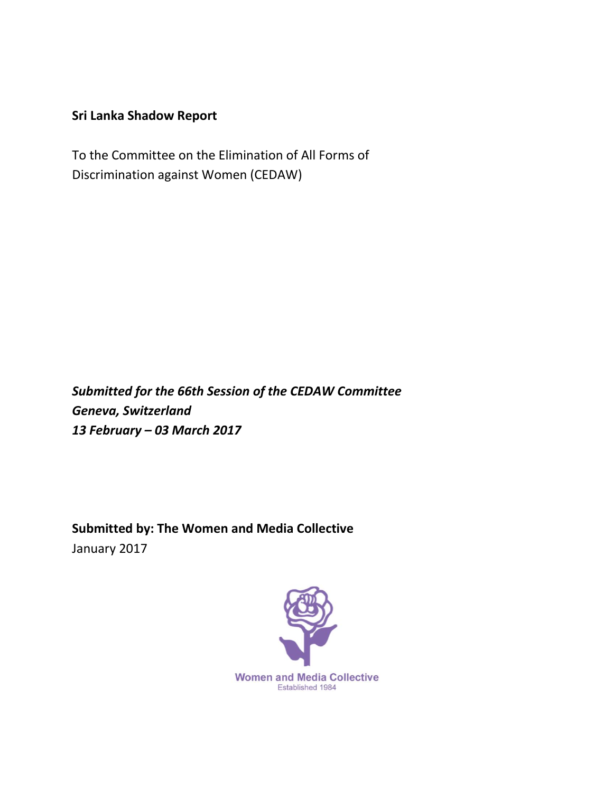# **Sri Lanka Shadow Report**

To the Committee on the Elimination of All Forms of Discrimination against Women (CEDAW)

*Submitted for the 66th Session of the CEDAW Committee Geneva, Switzerland 13 February – 03 March 2017*

**Submitted by: The Women and Media Collective** January 2017

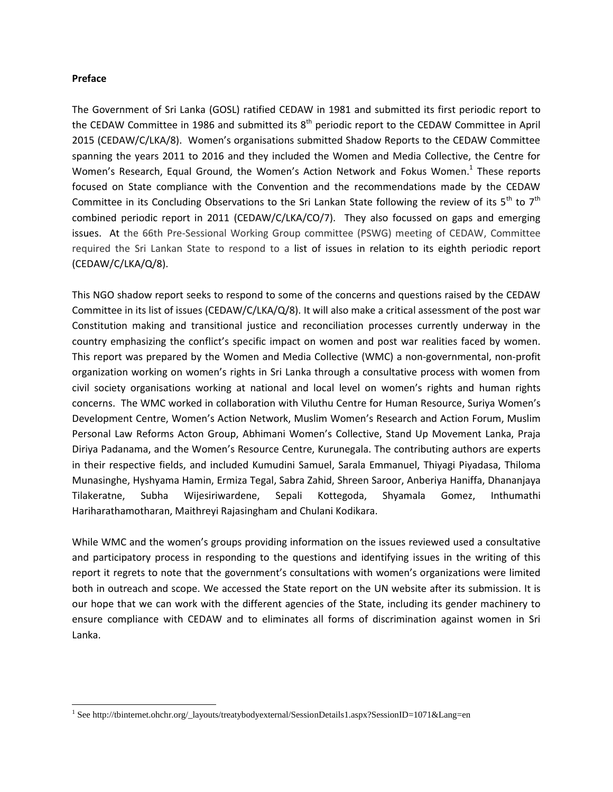#### **Preface**

 $\overline{a}$ 

The Government of Sri Lanka (GOSL) ratified CEDAW in 1981 and submitted its first periodic report to the CEDAW Committee in 1986 and submitted its  $8<sup>th</sup>$  periodic report to the CEDAW Committee in April 2015 (CEDAW/C/LKA/8). Women's organisations submitted Shadow Reports to the CEDAW Committee spanning the years 2011 to 2016 and they included the Women and Media Collective, the Centre for Women's Research, Equal Ground, the Women's Action Network and Fokus Women.<sup>1</sup> These reports focused on State compliance with the Convention and the recommendations made by the CEDAW Committee in its Concluding Observations to the Sri Lankan State following the review of its  $5<sup>th</sup>$  to  $7<sup>th</sup>$ combined periodic report in 2011 (CEDAW/C/LKA/CO/7). They also focussed on gaps and emerging issues. At the 66th Pre-Sessional Working Group committee (PSWG) meeting of CEDAW, Committee required the Sri Lankan State to respond to a list of issues in relation to its eighth periodic report (CEDAW/C/LKA/Q/8).

This NGO shadow report seeks to respond to some of the concerns and questions raised by the CEDAW Committee in its list of issues (CEDAW/C/LKA/Q/8). It will also make a critical assessment of the post war Constitution making and transitional justice and reconciliation processes currently underway in the country emphasizing the conflict's specific impact on women and post war realities faced by women. This report was prepared by the Women and Media Collective (WMC) a non-governmental, non-profit organization working on women's rights in Sri Lanka through a consultative process with women from civil society organisations working at national and local level on women's rights and human rights concerns. The WMC worked in collaboration with Viluthu Centre for Human Resource, Suriya Women's Development Centre, Women's Action Network, Muslim Women's Research and Action Forum, Muslim Personal Law Reforms Acton Group, Abhimani Women's Collective, Stand Up Movement Lanka, Praja Diriya Padanama, and the Women's Resource Centre, Kurunegala. The contributing authors are experts in their respective fields, and included Kumudini Samuel, Sarala Emmanuel, Thiyagi Piyadasa, Thiloma Munasinghe, Hyshyama Hamin, Ermiza Tegal, Sabra Zahid, Shreen Saroor, Anberiya Haniffa, Dhananjaya Tilakeratne, Subha Wijesiriwardene, Sepali Kottegoda, Shyamala Gomez, Inthumathi Hariharathamotharan, Maithreyi Rajasingham and Chulani Kodikara.

While WMC and the women's groups providing information on the issues reviewed used a consultative and participatory process in responding to the questions and identifying issues in the writing of this report it regrets to note that the government's consultations with women's organizations were limited both in outreach and scope. We accessed the State report on the UN website after its submission. It is our hope that we can work with the different agencies of the State, including its gender machinery to ensure compliance with CEDAW and to eliminates all forms of discrimination against women in Sri Lanka.

<sup>&</sup>lt;sup>1</sup> See http://tbinternet.ohchr.org/\_layouts/treatybodyexternal/SessionDetails1.aspx?SessionID=1071&Lang=en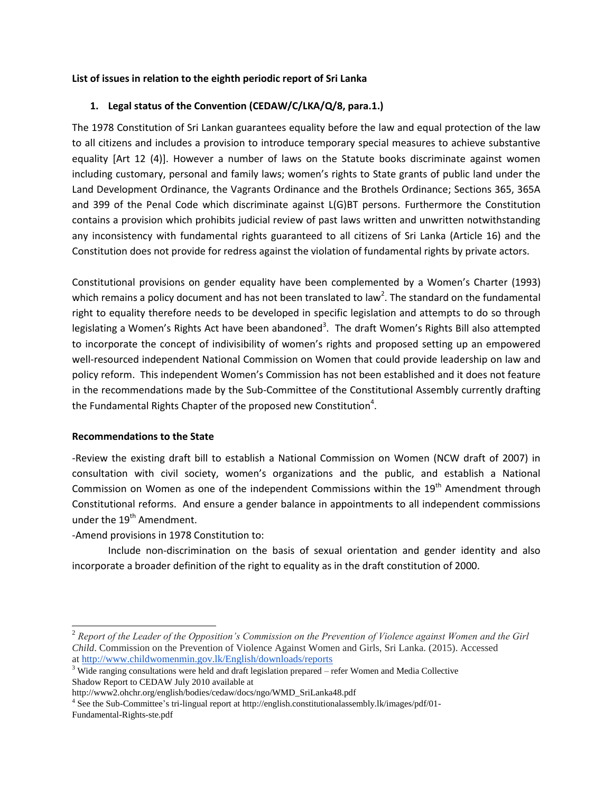### **List of issues in relation to the eighth periodic report of Sri Lanka**

### **1. Legal status of the Convention (CEDAW/C/LKA/Q/8, para.1.)**

The 1978 Constitution of Sri Lankan guarantees equality before the law and equal protection of the law to all citizens and includes a provision to introduce temporary special measures to achieve substantive equality [Art 12 (4)]. However a number of laws on the Statute books discriminate against women including customary, personal and family laws; women's rights to State grants of public land under the Land Development Ordinance, the Vagrants Ordinance and the Brothels Ordinance; Sections 365, 365A and 399 of the Penal Code which discriminate against L(G)BT persons. Furthermore the Constitution contains a provision which prohibits judicial review of past laws written and unwritten notwithstanding any inconsistency with fundamental rights guaranteed to all citizens of Sri Lanka (Article 16) and the Constitution does not provide for redress against the violation of fundamental rights by private actors.

Constitutional provisions on gender equality have been complemented by a Women's Charter (1993) which remains a policy document and has not been translated to law<sup>2</sup>. The standard on the fundamental right to equality therefore needs to be developed in specific legislation and attempts to do so through legislating a Women's Rights Act have been abandoned<sup>3</sup>. The draft Women's Rights Bill also attempted to incorporate the concept of indivisibility of women's rights and proposed setting up an empowered well-resourced independent National Commission on Women that could provide leadership on law and policy reform. This independent Women's Commission has not been established and it does not feature in the recommendations made by the Sub-Committee of the Constitutional Assembly currently drafting the Fundamental Rights Chapter of the proposed new Constitution<sup>4</sup>.

### **Recommendations to the State**

 $\overline{\phantom{a}}$ 

-Review the existing draft bill to establish a National Commission on Women (NCW draft of 2007) in consultation with civil society, women's organizations and the public, and establish a National Commission on Women as one of the independent Commissions within the  $19<sup>th</sup>$  Amendment through Constitutional reforms. And ensure a gender balance in appointments to all independent commissions under the 19<sup>th</sup> Amendment.

-Amend provisions in 1978 Constitution to:

Include non-discrimination on the basis of sexual orientation and gender identity and also incorporate a broader definition of the right to equality as in the draft constitution of 2000.

<sup>2</sup> *Report of the Leader of the Opposition's Commission on the Prevention of Violence against Women and the Girl Child*. Commission on the Prevention of Violence Against Women and Girls, Sri Lanka. (2015). Accessed at <http://www.childwomenmin.gov.lk/English/downloads/reports>

<sup>&</sup>lt;sup>3</sup> Wide ranging consultations were held and draft legislation prepared – refer Women and Media Collective Shadow Report to CEDAW July 2010 available at

http://www2.ohchr.org/english/bodies/cedaw/docs/ngo/WMD\_SriLanka48.pdf

<sup>&</sup>lt;sup>4</sup> See the Sub-Committee's tri-lingual report at http://english.constitutionalassembly.lk/images/pdf/01-Fundamental-Rights-ste.pdf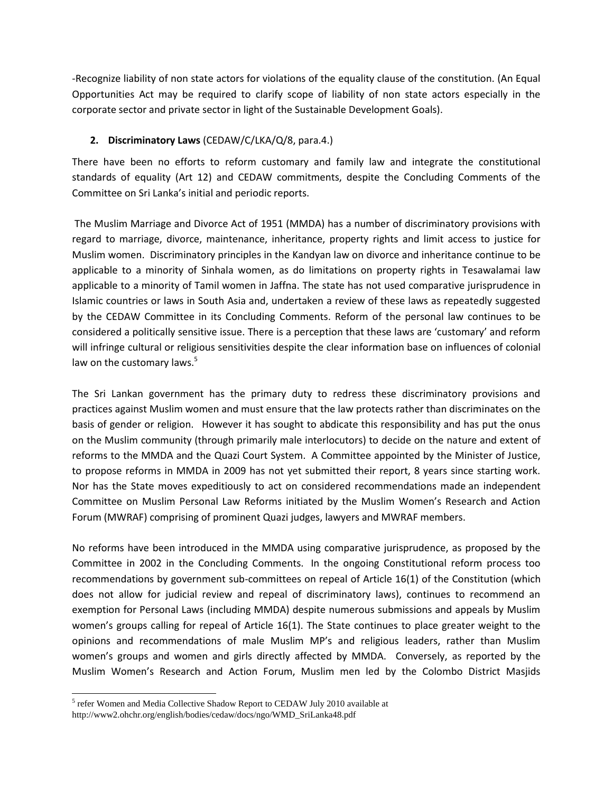-Recognize liability of non state actors for violations of the equality clause of the constitution. (An Equal Opportunities Act may be required to clarify scope of liability of non state actors especially in the corporate sector and private sector in light of the Sustainable Development Goals).

# **2. Discriminatory Laws** (CEDAW/C/LKA/Q/8, para.4.)

There have been no efforts to reform customary and family law and integrate the constitutional standards of equality (Art 12) and CEDAW commitments, despite the Concluding Comments of the Committee on Sri Lanka's initial and periodic reports.

The Muslim Marriage and Divorce Act of 1951 (MMDA) has a number of discriminatory provisions with regard to marriage, divorce, maintenance, inheritance, property rights and limit access to justice for Muslim women. Discriminatory principles in the Kandyan law on divorce and inheritance continue to be applicable to a minority of Sinhala women, as do limitations on property rights in Tesawalamai law applicable to a minority of Tamil women in Jaffna. The state has not used comparative jurisprudence in Islamic countries or laws in South Asia and, undertaken a review of these laws as repeatedly suggested by the CEDAW Committee in its Concluding Comments. Reform of the personal law continues to be considered a politically sensitive issue. There is a perception that these laws are 'customary' and reform will infringe cultural or religious sensitivities despite the clear information base on influences of colonial law on the customary laws.<sup>5</sup>

The Sri Lankan government has the primary duty to redress these discriminatory provisions and practices against Muslim women and must ensure that the law protects rather than discriminates on the basis of gender or religion. However it has sought to abdicate this responsibility and has put the onus on the Muslim community (through primarily male interlocutors) to decide on the nature and extent of reforms to the MMDA and the Quazi Court System. A Committee appointed by the Minister of Justice, to propose reforms in MMDA in 2009 has not yet submitted their report, 8 years since starting work. Nor has the State moves expeditiously to act on considered recommendations made an independent Committee on Muslim Personal Law Reforms initiated by the Muslim Women's Research and Action Forum (MWRAF) comprising of prominent Quazi judges, lawyers and MWRAF members.

No reforms have been introduced in the MMDA using comparative jurisprudence, as proposed by the Committee in 2002 in the Concluding Comments. In the ongoing Constitutional reform process too recommendations by government sub-committees on repeal of Article 16(1) of the Constitution (which does not allow for judicial review and repeal of discriminatory laws), continues to recommend an exemption for Personal Laws (including MMDA) despite numerous submissions and appeals by Muslim women's groups calling for repeal of Article 16(1). The State continues to place greater weight to the opinions and recommendations of male Muslim MP's and religious leaders, rather than Muslim women's groups and women and girls directly affected by MMDA. Conversely, as reported by the Muslim Women's Research and Action Forum, Muslim men led by the Colombo District Masjids

 $\overline{\phantom{a}}$ 

<sup>&</sup>lt;sup>5</sup> refer Women and Media Collective Shadow Report to CEDAW July 2010 available at http://www2.ohchr.org/english/bodies/cedaw/docs/ngo/WMD\_SriLanka48.pdf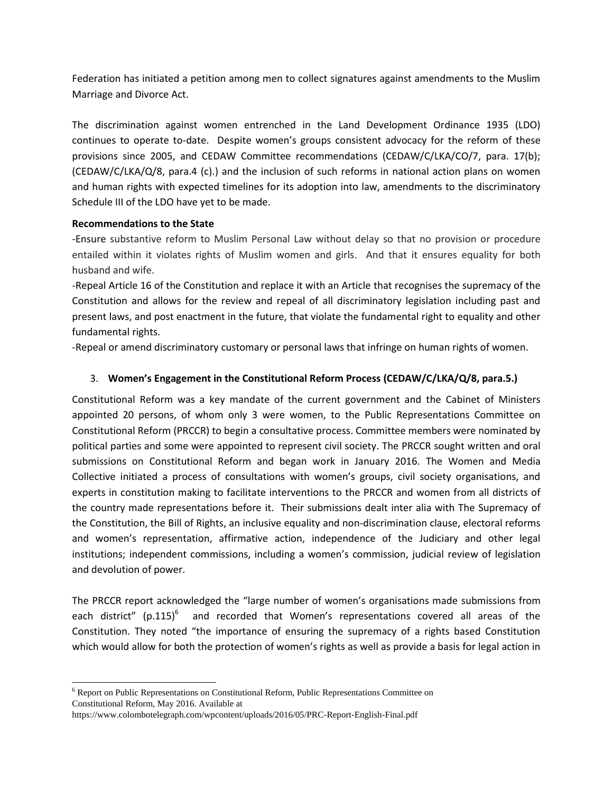Federation has initiated a petition among men to collect signatures against amendments to the Muslim Marriage and Divorce Act.

The discrimination against women entrenched in the Land Development Ordinance 1935 (LDO) continues to operate to-date. Despite women's groups consistent advocacy for the reform of these provisions since 2005, and CEDAW Committee recommendations (CEDAW/C/LKA/CO/7, para. 17(b); (CEDAW/C/LKA/Q/8, para.4 (c).) and the inclusion of such reforms in national action plans on women and human rights with expected timelines for its adoption into law, amendments to the discriminatory Schedule III of the LDO have yet to be made.

### **Recommendations to the State**

 $\overline{a}$ 

-Ensure substantive reform to Muslim Personal Law without delay so that no provision or procedure entailed within it violates rights of Muslim women and girls. And that it ensures equality for both husband and wife.

-Repeal Article 16 of the Constitution and replace it with an Article that recognises the supremacy of the Constitution and allows for the review and repeal of all discriminatory legislation including past and present laws, and post enactment in the future, that violate the fundamental right to equality and other fundamental rights.

-Repeal or amend discriminatory customary or personal laws that infringe on human rights of women.

### 3. **Women's Engagement in the Constitutional Reform Process (CEDAW/C/LKA/Q/8, para.5.)**

Constitutional Reform was a key mandate of the current government and the Cabinet of Ministers appointed 20 persons, of whom only 3 were women, to the Public Representations Committee on Constitutional Reform (PRCCR) to begin a consultative process. Committee members were nominated by political parties and some were appointed to represent civil society. The PRCCR sought written and oral submissions on Constitutional Reform and began work in January 2016. The Women and Media Collective initiated a process of consultations with women's groups, civil society organisations, and experts in constitution making to facilitate interventions to the PRCCR and women from all districts of the country made representations before it. Their submissions dealt inter alia with The Supremacy of the Constitution, the Bill of Rights, an inclusive equality and non-discrimination clause, electoral reforms and women's representation, affirmative action, independence of the Judiciary and other legal institutions; independent commissions, including a women's commission, judicial review of legislation and devolution of power.

The PRCCR report acknowledged the "large number of women's organisations made submissions from each district" (p.115)<sup>6</sup> and recorded that Women's representations covered all areas of the Constitution. They noted "the importance of ensuring the supremacy of a rights based Constitution which would allow for both the protection of women's rights as well as provide a basis for legal action in

<sup>6</sup> Report on Public Representations on Constitutional Reform, Public Representations Committee on Constitutional Reform, May 2016. Available at

https://www.colombotelegraph.com/wpcontent/uploads/2016/05/PRC-Report-English-Final.pdf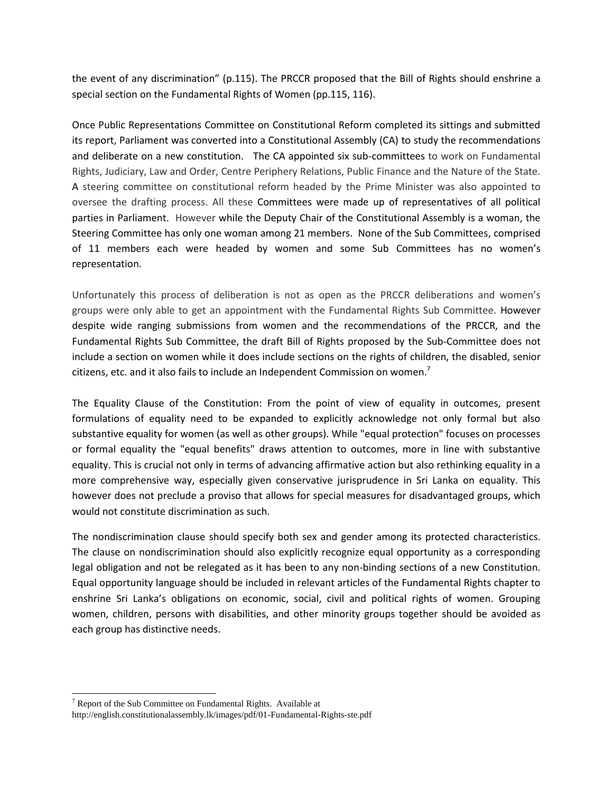the event of any discrimination" (p.115). The PRCCR proposed that the Bill of Rights should enshrine a special section on the Fundamental Rights of Women (pp.115, 116).

Once Public Representations Committee on Constitutional Reform completed its sittings and submitted its report, Parliament was converted into a Constitutional Assembly (CA) to study the recommendations and deliberate on a new constitution. The CA appointed six sub-committees to work on Fundamental Rights, Judiciary, Law and Order, Centre Periphery Relations, Public Finance and the Nature of the State. A steering committee on constitutional reform headed by the Prime Minister was also appointed to oversee the drafting process. All these Committees were made up of representatives of all political parties in Parliament. However while the Deputy Chair of the Constitutional Assembly is a woman, the Steering Committee has only one woman among 21 members. None of the Sub Committees, comprised of 11 members each were headed by women and some Sub Committees has no women's representation.

Unfortunately this process of deliberation is not as open as the PRCCR deliberations and women's groups were only able to get an appointment with the Fundamental Rights Sub Committee. However despite wide ranging submissions from women and the recommendations of the PRCCR, and the Fundamental Rights Sub Committee, the draft Bill of Rights proposed by the Sub-Committee does not include a section on women while it does include sections on the rights of children, the disabled, senior citizens, etc. and it also fails to include an Independent Commission on women.<sup>7</sup>

The Equality Clause of the Constitution: From the point of view of equality in outcomes, present formulations of equality need to be expanded to explicitly acknowledge not only formal but also substantive equality for women (as well as other groups). While "equal protection" focuses on processes or formal equality the "equal benefits" draws attention to outcomes, more in line with substantive equality. This is crucial not only in terms of advancing affirmative action but also rethinking equality in a more comprehensive way, especially given conservative jurisprudence in Sri Lanka on equality. This however does not preclude a proviso that allows for special measures for disadvantaged groups, which would not constitute discrimination as such.

The nondiscrimination clause should specify both sex and gender among its protected characteristics. The clause on nondiscrimination should also explicitly recognize equal opportunity as a corresponding legal obligation and not be relegated as it has been to any non-binding sections of a new Constitution. Equal opportunity language should be included in relevant articles of the Fundamental Rights chapter to enshrine Sri Lanka's obligations on economic, social, civil and political rights of women. Grouping women, children, persons with disabilities, and other minority groups together should be avoided as each group has distinctive needs.

 $\overline{\phantom{a}}$ 

 $7$  Report of the Sub Committee on Fundamental Rights. Available at

http://english.constitutionalassembly.lk/images/pdf/01-Fundamental-Rights-ste.pdf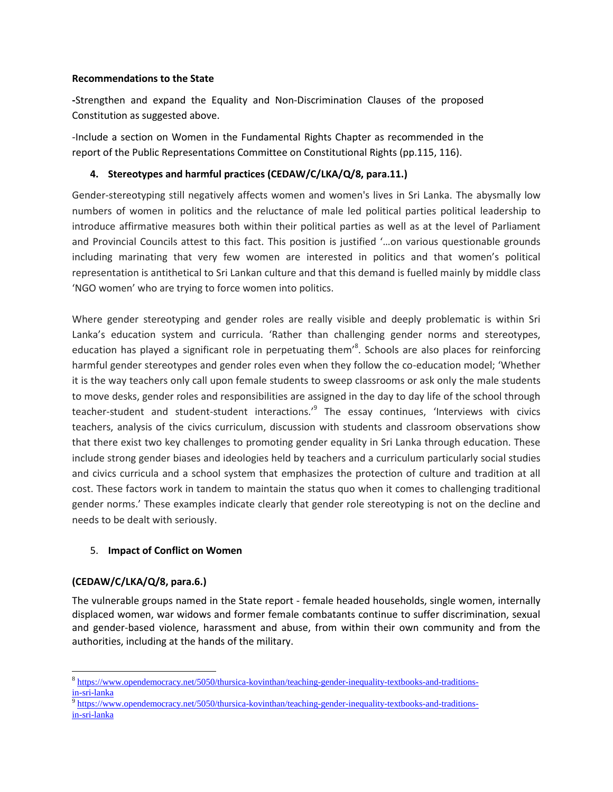#### **Recommendations to the State**

**-**Strengthen and expand the Equality and Non-Discrimination Clauses of the proposed Constitution as suggested above.

-Include a section on Women in the Fundamental Rights Chapter as recommended in the report of the Public Representations Committee on Constitutional Rights (pp.115, 116).

### **4. Stereotypes and harmful practices (CEDAW/C/LKA/Q/8, para.11.)**

Gender-stereotyping still negatively affects women and women's lives in Sri Lanka. The abysmally low numbers of women in politics and the reluctance of male led political parties political leadership to introduce affirmative measures both within their political parties as well as at the level of Parliament and Provincial Councils attest to this fact. This position is justified '…on various questionable grounds including marinating that very few women are interested in politics and that women's political representation is antithetical to Sri Lankan culture and that this demand is fuelled mainly by middle class 'NGO women' who are trying to force women into politics.

Where gender stereotyping and gender roles are really visible and deeply problematic is within Sri Lanka's education system and curricula. 'Rather than challenging gender norms and stereotypes, education has played a significant role in perpetuating them<sup>'8</sup>. Schools are also places for reinforcing harmful gender stereotypes and gender roles even when they follow the co-education model; 'Whether it is the way teachers only call upon female students to sweep classrooms or ask only the male students to move desks, gender roles and responsibilities are assigned in the day to day life of the school through teacher-student and student-student interactions.<sup>,9</sup> The essay continues, 'Interviews with civics teachers, analysis of the civics curriculum, discussion with students and classroom observations show that there exist two key challenges to promoting gender equality in Sri Lanka through education. These include strong gender biases and ideologies held by teachers and a curriculum particularly social studies and civics curricula and a school system that emphasizes the protection of culture and tradition at all cost. These factors work in tandem to maintain the status quo when it comes to challenging traditional gender norms.' These examples indicate clearly that gender role stereotyping is not on the decline and needs to be dealt with seriously.

### 5. **Impact of Conflict on Women**

# **(CEDAW/C/LKA/Q/8, para.6.)**

 $\overline{a}$ 

The vulnerable groups named in the State report - female headed households, single women, internally displaced women, war widows and former female combatants continue to suffer discrimination, sexual and gender-based violence, harassment and abuse, from within their own community and from the authorities, including at the hands of the military.

<sup>&</sup>lt;sup>8</sup> [https://www.opendemocracy.net/5050/thursica-kovinthan/teaching-gender-inequality-textbooks-and-traditions](https://www.opendemocracy.net/5050/thursica-kovinthan/teaching-gender-inequality-textbooks-and-traditions-in-sri-lanka)[in-sri-lanka](https://www.opendemocracy.net/5050/thursica-kovinthan/teaching-gender-inequality-textbooks-and-traditions-in-sri-lanka)

<sup>9</sup> [https://www.opendemocracy.net/5050/thursica-kovinthan/teaching-gender-inequality-textbooks-and-traditions](https://www.opendemocracy.net/5050/thursica-kovinthan/teaching-gender-inequality-textbooks-and-traditions-in-sri-lanka)[in-sri-lanka](https://www.opendemocracy.net/5050/thursica-kovinthan/teaching-gender-inequality-textbooks-and-traditions-in-sri-lanka)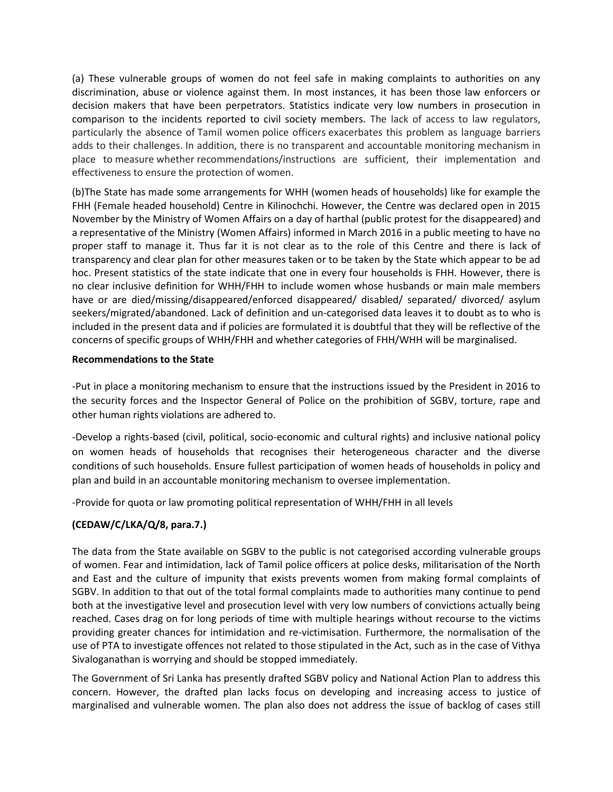(a) These vulnerable groups of women do not feel safe in making complaints to authorities on any discrimination, abuse or violence against them. In most instances, it has been those law enforcers or decision makers that have been perpetrators. Statistics indicate very low numbers in prosecution in comparison to the incidents reported to civil society members. The lack of access to law regulators, particularly the absence of Tamil women police officers exacerbates this problem as language barriers adds to their challenges. In addition, there is no transparent and accountable monitoring mechanism in place to measure whether recommendations/instructions are sufficient, their implementation and effectiveness to ensure the protection of women.

(b)The State has made some arrangements for WHH (women heads of households) like for example the FHH (Female headed household) Centre in Kilinochchi. However, the Centre was declared open in 2015 November by the Ministry of Women Affairs on a day of harthal (public protest for the disappeared) and a representative of the Ministry (Women Affairs) informed in March 2016 in a public meeting to have no proper staff to manage it. Thus far it is not clear as to the role of this Centre and there is lack of transparency and clear plan for other measures taken or to be taken by the State which appear to be ad hoc. Present statistics of the state indicate that one in every four households is FHH. However, there is no clear inclusive definition for WHH/FHH to include women whose husbands or main male members have or are died/missing/disappeared/enforced disappeared/ disabled/ separated/ divorced/ asylum seekers/migrated/abandoned. Lack of definition and un-categorised data leaves it to doubt as to who is included in the present data and if policies are formulated it is doubtful that they will be reflective of the concerns of specific groups of WHH/FHH and whether categories of FHH/WHH will be marginalised.

### **Recommendations to the State**

-Put in place a monitoring mechanism to ensure that the instructions issued by the President in 2016 to the security forces and the Inspector General of Police on the prohibition of SGBV, torture, rape and other human rights violations are adhered to.

-Develop a rights-based (civil, political, socio-economic and cultural rights) and inclusive national policy on women heads of households that recognises their heterogeneous character and the diverse conditions of such households. Ensure fullest participation of women heads of households in policy and plan and build in an accountable monitoring mechanism to oversee implementation.

-Provide for quota or law promoting political representation of WHH/FHH in all levels

# **(CEDAW/C/LKA/Q/8, para.7.)**

The data from the State available on SGBV to the public is not categorised according vulnerable groups of women. Fear and intimidation, lack of Tamil police officers at police desks, militarisation of the North and East and the culture of impunity that exists prevents women from making formal complaints of SGBV. In addition to that out of the total formal complaints made to authorities many continue to pend both at the investigative level and prosecution level with very low numbers of convictions actually being reached. Cases drag on for long periods of time with multiple hearings without recourse to the victims providing greater chances for intimidation and re-victimisation. Furthermore, the normalisation of the use of PTA to investigate offences not related to those stipulated in the Act, such as in the case of Vithya Sivaloganathan is worrying and should be stopped immediately.

The Government of Sri Lanka has presently drafted SGBV policy and National Action Plan to address this concern. However, the drafted plan lacks focus on developing and increasing access to justice of marginalised and vulnerable women. The plan also does not address the issue of backlog of cases still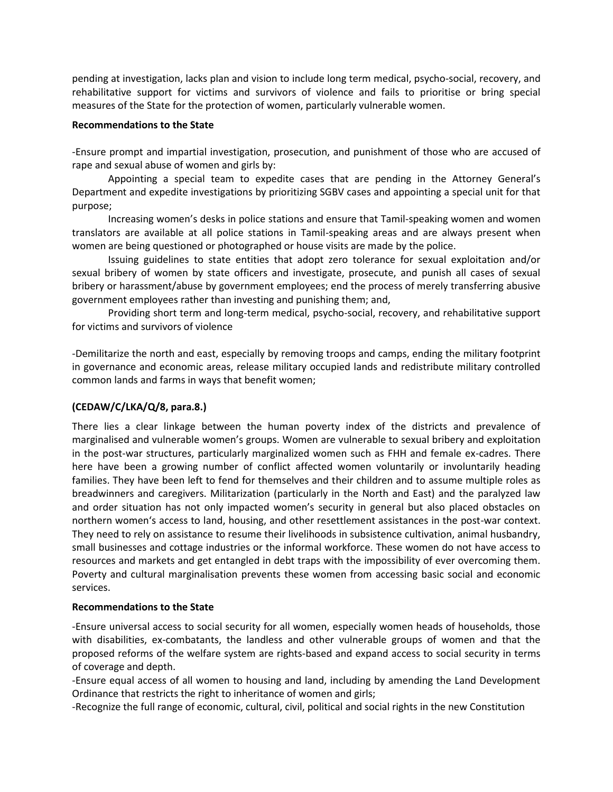pending at investigation, lacks plan and vision to include long term medical, psycho-social, recovery, and rehabilitative support for victims and survivors of violence and fails to prioritise or bring special measures of the State for the protection of women, particularly vulnerable women.

#### **Recommendations to the State**

-Ensure prompt and impartial investigation, prosecution, and punishment of those who are accused of rape and sexual abuse of women and girls by:

Appointing a special team to expedite cases that are pending in the Attorney General's Department and expedite investigations by prioritizing SGBV cases and appointing a special unit for that purpose;

Increasing women's desks in police stations and ensure that Tamil-speaking women and women translators are available at all police stations in Tamil-speaking areas and are always present when women are being questioned or photographed or house visits are made by the police.

Issuing guidelines to state entities that adopt zero tolerance for sexual exploitation and/or sexual bribery of women by state officers and investigate, prosecute, and punish all cases of sexual bribery or harassment/abuse by government employees; end the process of merely transferring abusive government employees rather than investing and punishing them; and,

Providing short term and long-term medical, psycho-social, recovery, and rehabilitative support for victims and survivors of violence

-Demilitarize the north and east, especially by removing troops and camps, ending the military footprint in governance and economic areas, release military occupied lands and redistribute military controlled common lands and farms in ways that benefit women;

### **(CEDAW/C/LKA/Q/8, para.8.)**

There lies a clear linkage between the human poverty index of the districts and prevalence of marginalised and vulnerable women's groups. Women are vulnerable to sexual bribery and exploitation in the post-war structures, particularly marginalized women such as FHH and female ex-cadres. There here have been a growing number of conflict affected women voluntarily or involuntarily heading families. They have been left to fend for themselves and their children and to assume multiple roles as breadwinners and caregivers. Militarization (particularly in the North and East) and the paralyzed law and order situation has not only impacted women's security in general but also placed obstacles on northern women's access to land, housing, and other resettlement assistances in the post-war context. They need to rely on assistance to resume their livelihoods in subsistence cultivation, animal husbandry, small businesses and cottage industries or the informal workforce. These women do not have access to resources and markets and get entangled in debt traps with the impossibility of ever overcoming them. Poverty and cultural marginalisation prevents these women from accessing basic social and economic services.

### **Recommendations to the State**

-Ensure universal access to social security for all women, especially women heads of households, those with disabilities, ex-combatants, the landless and other vulnerable groups of women and that the proposed reforms of the welfare system are rights-based and expand access to social security in terms of coverage and depth.

-Ensure equal access of all women to housing and land, including by amending the Land Development Ordinance that restricts the right to inheritance of women and girls;

-Recognize the full range of economic, cultural, civil, political and social rights in the new Constitution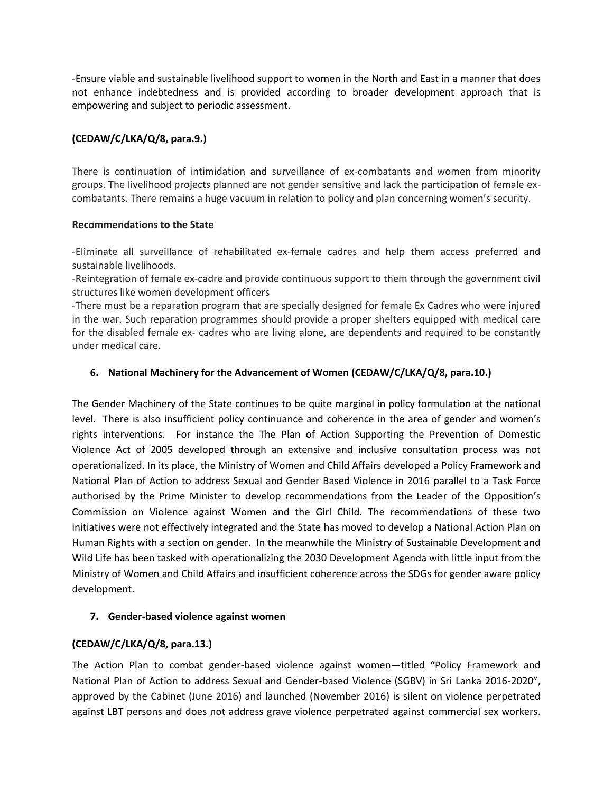-Ensure viable and sustainable livelihood support to women in the North and East in a manner that does not enhance indebtedness and is provided according to broader development approach that is empowering and subject to periodic assessment.

### **(CEDAW/C/LKA/Q/8, para.9.)**

There is continuation of intimidation and surveillance of ex-combatants and women from minority groups. The livelihood projects planned are not gender sensitive and lack the participation of female excombatants. There remains a huge vacuum in relation to policy and plan concerning women's security.

### **Recommendations to the State**

-Eliminate all surveillance of rehabilitated ex-female cadres and help them access preferred and sustainable livelihoods.

-Reintegration of female ex-cadre and provide continuous support to them through the government civil structures like women development officers

-There must be a reparation program that are specially designed for female Ex Cadres who were injured in the war. Such reparation programmes should provide a proper shelters equipped with medical care for the disabled female ex- cadres who are living alone, are dependents and required to be constantly under medical care.

### **6. National Machinery for the Advancement of Women (CEDAW/C/LKA/Q/8, para.10.)**

The Gender Machinery of the State continues to be quite marginal in policy formulation at the national level. There is also insufficient policy continuance and coherence in the area of gender and women's rights interventions. For instance the The Plan of Action Supporting the Prevention of Domestic Violence Act of 2005 developed through an extensive and inclusive consultation process was not operationalized. In its place, the Ministry of Women and Child Affairs developed a Policy Framework and National Plan of Action to address Sexual and Gender Based Violence in 2016 parallel to a Task Force authorised by the Prime Minister to develop recommendations from the Leader of the Opposition's Commission on Violence against Women and the Girl Child. The recommendations of these two initiatives were not effectively integrated and the State has moved to develop a National Action Plan on Human Rights with a section on gender. In the meanwhile the Ministry of Sustainable Development and Wild Life has been tasked with operationalizing the 2030 Development Agenda with little input from the Ministry of Women and Child Affairs and insufficient coherence across the SDGs for gender aware policy development.

### **7. Gender-based violence against women**

# **(CEDAW/C/LKA/Q/8, para.13.)**

The Action Plan to combat gender-based violence against women—titled "Policy Framework and National Plan of Action to address Sexual and Gender-based Violence (SGBV) in Sri Lanka 2016-2020", approved by the Cabinet (June 2016) and launched (November 2016) is silent on violence perpetrated against LBT persons and does not address grave violence perpetrated against commercial sex workers.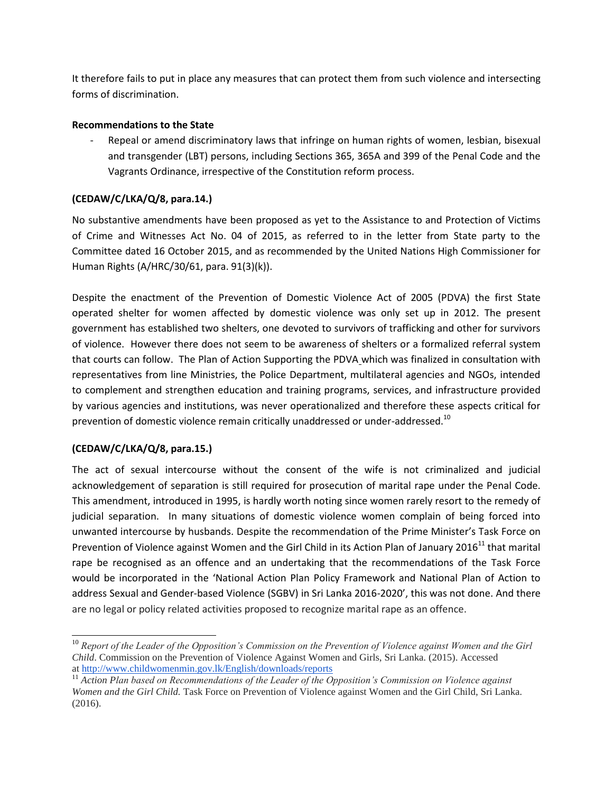It therefore fails to put in place any measures that can protect them from such violence and intersecting forms of discrimination.

### **Recommendations to the State**

Repeal or amend discriminatory laws that infringe on human rights of women, lesbian, bisexual and transgender (LBT) persons, including Sections 365, 365A and 399 of the Penal Code and the Vagrants Ordinance, irrespective of the Constitution reform process.

# **(CEDAW/C/LKA/Q/8, para.14.)**

No substantive amendments have been proposed as yet to the Assistance to and Protection of Victims of Crime and Witnesses Act No. 04 of 2015, as referred to in the letter from State party to the Committee dated 16 October 2015, and as recommended by the United Nations High Commissioner for Human Rights (A/HRC/30/61, para. 91(3)(k)).

Despite the enactment of the Prevention of Domestic Violence Act of 2005 (PDVA) the first State operated shelter for women affected by domestic violence was only set up in 2012. The present government has established two shelters, one devoted to survivors of trafficking and other for survivors of violence. However there does not seem to be awareness of shelters or a formalized referral system that courts can follow. The Plan of Action Supporting the PDVA which was finalized in consultation with representatives from line Ministries, the Police Department, multilateral agencies and NGOs, intended to complement and strengthen education and training programs, services, and infrastructure provided by various agencies and institutions, was never operationalized and therefore these aspects critical for prevention of domestic violence remain critically unaddressed or under-addressed.<sup>10</sup>

# **(CEDAW/C/LKA/Q/8, para.15.)**

 $\overline{a}$ 

The act of sexual intercourse without the consent of the wife is not criminalized and judicial acknowledgement of separation is still required for prosecution of marital rape under the Penal Code. This amendment, introduced in 1995, is hardly worth noting since women rarely resort to the remedy of judicial separation. In many situations of domestic violence women complain of being forced into unwanted intercourse by husbands. Despite the recommendation of the Prime Minister's Task Force on Prevention of Violence against Women and the Girl Child in its Action Plan of January 2016<sup>11</sup> that marital rape be recognised as an offence and an undertaking that the recommendations of the Task Force would be incorporated in the 'National Action Plan Policy Framework and National Plan of Action to address Sexual and Gender-based Violence (SGBV) in Sri Lanka 2016-2020', this was not done. And there are no legal or policy related activities proposed to recognize marital rape as an offence.

<sup>&</sup>lt;sup>10</sup> Report of the Leader of the Opposition's Commission on the Prevention of Violence against Women and the Girl *Child*. Commission on the Prevention of Violence Against Women and Girls, Sri Lanka. (2015). Accessed at <http://www.childwomenmin.gov.lk/English/downloads/reports>

<sup>11</sup> *Action Plan based on Recommendations of the Leader of the Opposition's Commission on Violence against Women and the Girl Child.* Task Force on Prevention of Violence against Women and the Girl Child, Sri Lanka. (2016).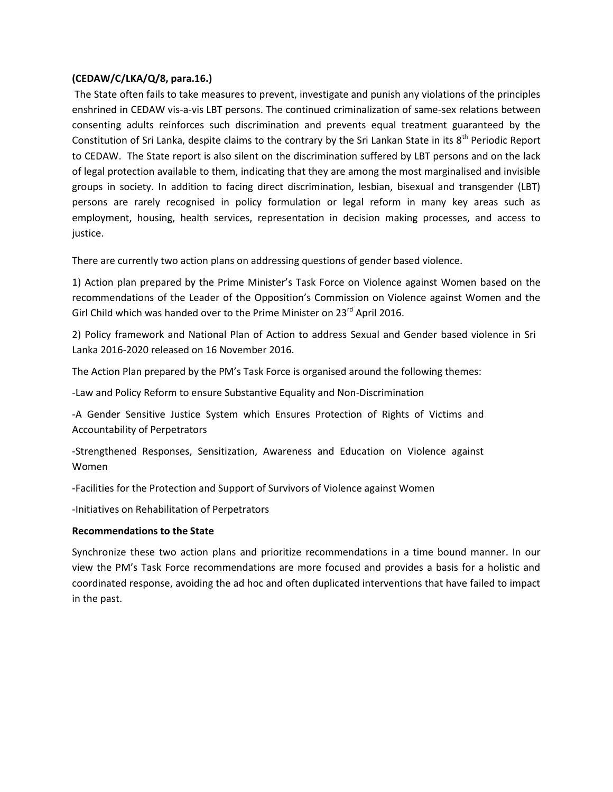### **(CEDAW/C/LKA/Q/8, para.16.)**

The State often fails to take measures to prevent, investigate and punish any violations of the principles enshrined in CEDAW vis-a-vis LBT persons. The continued criminalization of same-sex relations between consenting adults reinforces such discrimination and prevents equal treatment guaranteed by the Constitution of Sri Lanka, despite claims to the contrary by the Sri Lankan State in its 8<sup>th</sup> Periodic Report to CEDAW. The State report is also silent on the discrimination suffered by LBT persons and on the lack of legal protection available to them, indicating that they are among the most marginalised and invisible groups in society. In addition to facing direct discrimination, lesbian, bisexual and transgender (LBT) persons are rarely recognised in policy formulation or legal reform in many key areas such as employment, housing, health services, representation in decision making processes, and access to justice.

There are currently two action plans on addressing questions of gender based violence.

1) Action plan prepared by the Prime Minister's Task Force on Violence against Women based on the recommendations of the Leader of the Opposition's Commission on Violence against Women and the Girl Child which was handed over to the Prime Minister on 23<sup>rd</sup> April 2016.

2) Policy framework and National Plan of Action to address Sexual and Gender based violence in Sri Lanka 2016-2020 released on 16 November 2016.

The Action Plan prepared by the PM's Task Force is organised around the following themes:

-Law and Policy Reform to ensure Substantive Equality and Non-Discrimination

-A Gender Sensitive Justice System which Ensures Protection of Rights of Victims and Accountability of Perpetrators

-Strengthened Responses, Sensitization, Awareness and Education on Violence against Women

-Facilities for the Protection and Support of Survivors of Violence against Women

-Initiatives on Rehabilitation of Perpetrators

#### **Recommendations to the State**

Synchronize these two action plans and prioritize recommendations in a time bound manner. In our view the PM's Task Force recommendations are more focused and provides a basis for a holistic and coordinated response, avoiding the ad hoc and often duplicated interventions that have failed to impact in the past.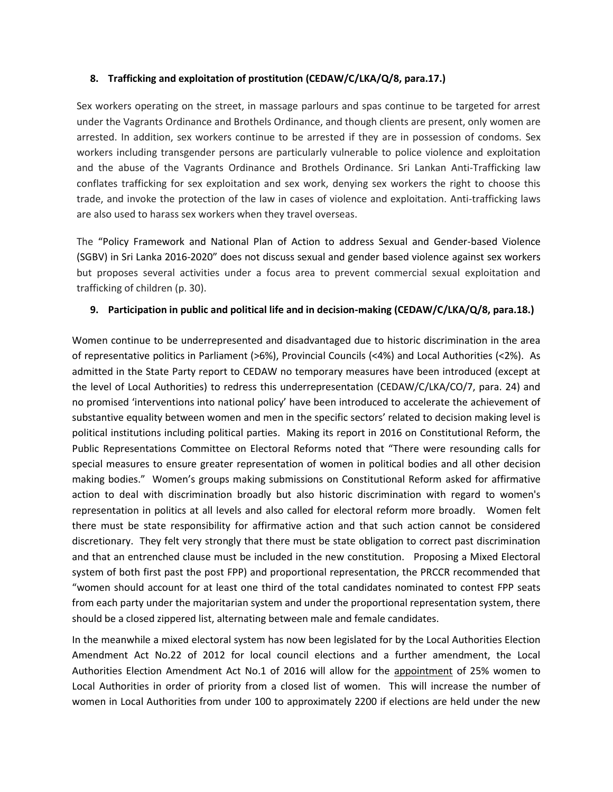### **8. Trafficking and exploitation of prostitution (CEDAW/C/LKA/Q/8, para.17.)**

Sex workers operating on the street, in massage parlours and spas continue to be targeted for arrest under the Vagrants Ordinance and Brothels Ordinance, and though clients are present, only women are arrested. In addition, sex workers continue to be arrested if they are in possession of condoms. Sex workers including transgender persons are particularly vulnerable to police violence and exploitation and the abuse of the Vagrants Ordinance and Brothels Ordinance. Sri Lankan Anti-Trafficking law conflates trafficking for sex exploitation and sex work, denying sex workers the right to choose this trade, and invoke the protection of the law in cases of violence and exploitation. Anti-trafficking laws are also used to harass sex workers when they travel overseas.

The "Policy Framework and National Plan of Action to address Sexual and Gender-based Violence (SGBV) in Sri Lanka 2016-2020" does not discuss sexual and gender based violence against sex workers but proposes several activities under a focus area to prevent commercial sexual exploitation and trafficking of children (p. 30).

### **9. Participation in public and political life and in decision-making (CEDAW/C/LKA/Q/8, para.18.)**

Women continue to be underrepresented and disadvantaged due to historic discrimination in the area of representative politics in Parliament (>6%), Provincial Councils (<4%) and Local Authorities (<2%). As admitted in the State Party report to CEDAW no temporary measures have been introduced (except at the level of Local Authorities) to redress this underrepresentation (CEDAW/C/LKA/CO/7, para. 24) and no promised 'interventions into national policy' have been introduced to accelerate the achievement of substantive equality between women and men in the specific sectors' related to decision making level is political institutions including political parties. Making its report in 2016 on Constitutional Reform, the Public Representations Committee on Electoral Reforms noted that "There were resounding calls for special measures to ensure greater representation of women in political bodies and all other decision making bodies." Women's groups making submissions on Constitutional Reform asked for affirmative action to deal with discrimination broadly but also historic discrimination with regard to women's representation in politics at all levels and also called for electoral reform more broadly. Women felt there must be state responsibility for affirmative action and that such action cannot be considered discretionary. They felt very strongly that there must be state obligation to correct past discrimination and that an entrenched clause must be included in the new constitution. Proposing a Mixed Electoral system of both first past the post FPP) and proportional representation, the PRCCR recommended that "women should account for at least one third of the total candidates nominated to contest FPP seats from each party under the majoritarian system and under the proportional representation system, there should be a closed zippered list, alternating between male and female candidates.

In the meanwhile a mixed electoral system has now been legislated for by the Local Authorities Election Amendment Act No.22 of 2012 for local council elections and a further amendment, the Local Authorities Election Amendment Act No.1 of 2016 will allow for the appointment of 25% women to Local Authorities in order of priority from a closed list of women. This will increase the number of women in Local Authorities from under 100 to approximately 2200 if elections are held under the new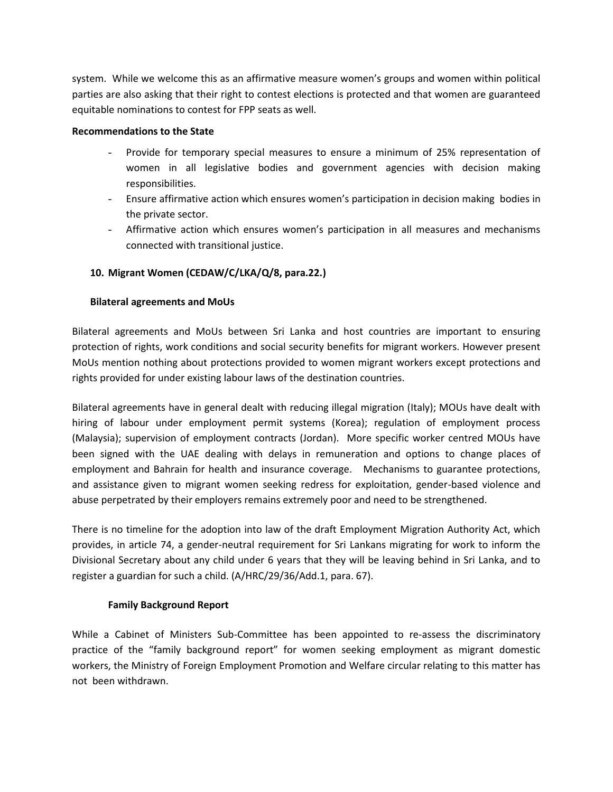system. While we welcome this as an affirmative measure women's groups and women within political parties are also asking that their right to contest elections is protected and that women are guaranteed equitable nominations to contest for FPP seats as well.

### **Recommendations to the State**

- Provide for temporary special measures to ensure a minimum of 25% representation of women in all legislative bodies and government agencies with decision making responsibilities.
- Ensure affirmative action which ensures women's participation in decision making bodies in the private sector.
- Affirmative action which ensures women's participation in all measures and mechanisms connected with transitional justice.

# **10. Migrant Women (CEDAW/C/LKA/Q/8, para.22.)**

### **Bilateral agreements and MoUs**

Bilateral agreements and MoUs between Sri Lanka and host countries are important to ensuring protection of rights, work conditions and social security benefits for migrant workers. However present MoUs mention nothing about protections provided to women migrant workers except protections and rights provided for under existing labour laws of the destination countries.

Bilateral agreements have in general dealt with reducing illegal migration (Italy); MOUs have dealt with hiring of labour under employment permit systems (Korea); regulation of employment process (Malaysia); supervision of employment contracts (Jordan). More specific worker centred MOUs have been signed with the UAE dealing with delays in remuneration and options to change places of employment and Bahrain for health and insurance coverage. Mechanisms to guarantee protections, and assistance given to migrant women seeking redress for exploitation, gender-based violence and abuse perpetrated by their employers remains extremely poor and need to be strengthened.

There is no timeline for the adoption into law of the draft Employment Migration Authority Act, which provides, in article 74, a gender-neutral requirement for Sri Lankans migrating for work to inform the Divisional Secretary about any child under 6 years that they will be leaving behind in Sri Lanka, and to register a guardian for such a child. (A/HRC/29/36/Add.1, para. 67).

### **Family Background Report**

While a Cabinet of Ministers Sub-Committee has been appointed to re-assess the discriminatory practice of the "family background report" for women seeking employment as migrant domestic workers, the Ministry of Foreign Employment Promotion and Welfare circular relating to this matter has not been withdrawn.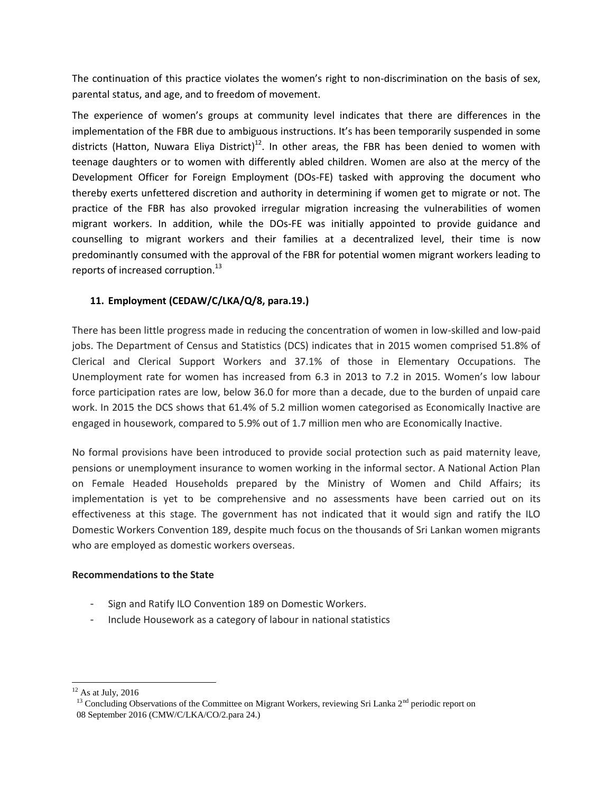The continuation of this practice violates the women's right to non-discrimination on the basis of sex, parental status, and age, and to freedom of movement.

The experience of women's groups at community level indicates that there are differences in the implementation of the FBR due to ambiguous instructions. It's has been temporarily suspended in some districts (Hatton, Nuwara Eliya District)<sup>12</sup>. In other areas, the FBR has been denied to women with teenage daughters or to women with differently abled children. Women are also at the mercy of the Development Officer for Foreign Employment (DOs-FE) tasked with approving the document who thereby exerts unfettered discretion and authority in determining if women get to migrate or not. The practice of the FBR has also provoked irregular migration increasing the vulnerabilities of women migrant workers. In addition, while the DOs-FE was initially appointed to provide guidance and counselling to migrant workers and their families at a decentralized level, their time is now predominantly consumed with the approval of the FBR for potential women migrant workers leading to reports of increased corruption.<sup>13</sup>

# **11. Employment (CEDAW/C/LKA/Q/8, para.19.)**

There has been little progress made in reducing the concentration of women in low-skilled and low-paid jobs. The Department of Census and Statistics (DCS) indicates that in 2015 women comprised 51.8% of Clerical and Clerical Support Workers and 37.1% of those in Elementary Occupations. The Unemployment rate for women has increased from 6.3 in 2013 to 7.2 in 2015. Women's low labour force participation rates are low, below 36.0 for more than a decade, due to the burden of unpaid care work. In 2015 the DCS shows that 61.4% of 5.2 million women categorised as Economically Inactive are engaged in housework, compared to 5.9% out of 1.7 million men who are Economically Inactive.

No formal provisions have been introduced to provide social protection such as paid maternity leave, pensions or unemployment insurance to women working in the informal sector. A National Action Plan on Female Headed Households prepared by the Ministry of Women and Child Affairs; its implementation is yet to be comprehensive and no assessments have been carried out on its effectiveness at this stage. The government has not indicated that it would sign and ratify the ILO Domestic Workers Convention 189, despite much focus on the thousands of Sri Lankan women migrants who are employed as domestic workers overseas.

### **Recommendations to the State**

- Sign and Ratify ILO Convention 189 on Domestic Workers.
- Include Housework as a category of labour in national statistics

 $\overline{a}$ 

 $12$  As at July, 2016

<sup>&</sup>lt;sup>13</sup> Concluding Observations of the Committee on Migrant Workers, reviewing Sri Lanka 2<sup>nd</sup> periodic report on 08 September 2016 (CMW/C/LKA/CO/2.para 24.)